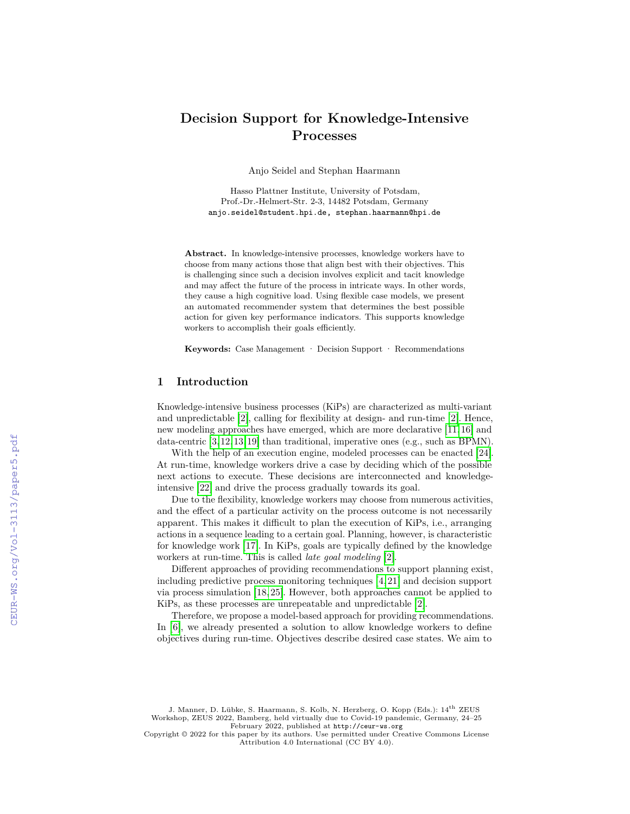# **Decision Support for Knowledge-Intensive Processes**

Anjo Seidel and Stephan Haarmann

Hasso Plattner Institute, University of Potsdam, Prof.-Dr.-Helmert-Str. 2-3, 14482 Potsdam, Germany anjo.seidel@student.hpi.de, stephan.haarmann@hpi.de

**Abstract.** In knowledge-intensive processes, knowledge workers have to choose from many actions those that align best with their objectives. This is challenging since such a decision involves explicit and tacit knowledge and may affect the future of the process in intricate ways. In other words, they cause a high cognitive load. Using flexible case models, we present an automated recommender system that determines the best possible action for given key performance indicators. This supports knowledge workers to accomplish their goals efficiently.

**Keywords:** Case Management · Decision Support · Recommendations

### **1 Introduction**

Knowledge-intensive business processes (KiPs) are characterized as multi-variant and unpredictable [2], calling for flexibility at design- and run-time [2]. Hence, new modeling approaches have emerged, which are more declarative [11, 16] and data-centric [3, 12, 13, 19] than traditional, imperative ones (e.g., such as BPMN).

With the help of an execution engine, modeled processes can be enacted [24]. At run-time, knowledge workers drive a case by deciding which of the possible next actions to execute. These decisions are interconnected and knowledgeintensive [22] and drive the process gradually towards its goal.

Due to the flexibility, knowledge workers may choose from numerous activities, and the effect of a particular activity on the process outcome is not necessarily apparent. This makes it difficult to plan the execution of KiPs, i.e., arranging actions in a sequence leading to a certain goal. Planning, however, is characteristic for knowledge work [17]. In KiPs, goals are typically defined by the knowledge workers at run-time. This is called *late goal modeling* [2].

Different approaches of providing recommendations to support planning exist, including predictive process monitoring techniques [4, 21] and decision support via process simulation [18, 25]. However, both approaches cannot be applied to KiPs, as these processes are unrepeatable and unpredictable [2].

Therefore, we propose a model-based approach for providing recommendations. In  $[6]$ , we already presented a solution to allow knowledge workers to define objectives during run-time. Objectives describe desired case states. We aim to

J. Manner, D. Lübke, S. Haarmann, S. Kolb, N. Herzberg, O. Kopp (Eds.): 14th ZEUS Workshop, ZEUS 2022, Bamberg, held virtually due to Covid-19 pandemic, Germany, 24–25 February 2022, published at <http://ceur-ws.org>

Copyright © 2022 for this paper by its authors. Use permitted under Creative Commons License Attribution 4.0 International (CC BY 4.0).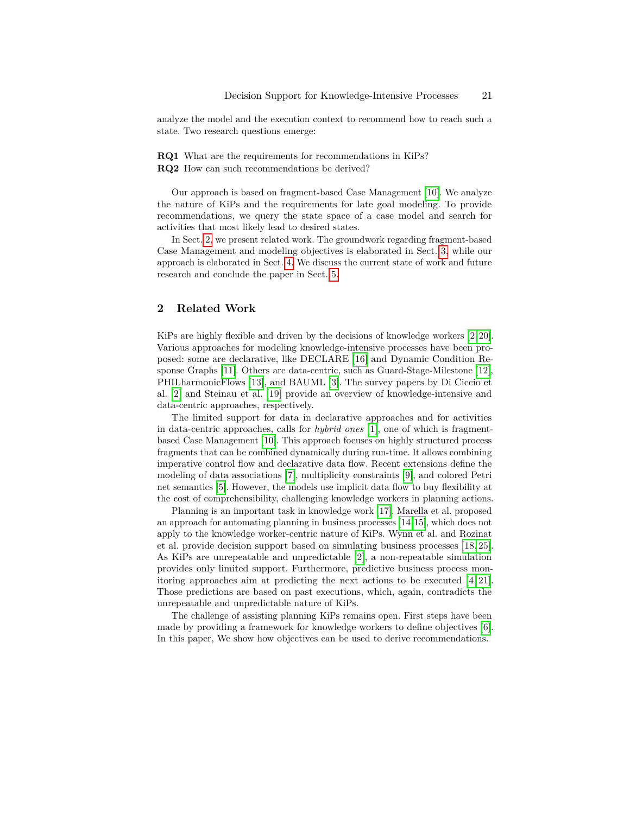analyze the model and the execution context to recommend how to reach such a state. Two research questions emerge:

**RQ1** What are the requirements for recommendations in KiPs? **RQ2** How can such recommendations be derived?

Our approach is based on fragment-based Case Management [10]. We analyze the nature of KiPs and the requirements for late goal modeling. To provide recommendations, we query the state space of a case model and search for activities that most likely lead to desired states.

In Sect. 2, we present related work. The groundwork regarding fragment-based Case Management and modeling objectives is elaborated in Sect. 3, while our approach is elaborated in Sect. 4. We discuss the current state of work and future research and conclude the paper in Sect. 5.

# **2 Related Work**

KiPs are highly flexible and driven by the decisions of knowledge workers [2, 20]. Various approaches for modeling knowledge-intensive processes have been proposed: some are declarative, like DECLARE [16] and Dynamic Condition Response Graphs [11]. Others are data-centric, such as Guard-Stage-Milestone [12], PHILharmonicFlows [13], and BAUML [3]. The survey papers by Di Ciccio et al. [2] and Steinau et al. [19] provide an overview of knowledge-intensive and data-centric approaches, respectively.

The limited support for data in declarative approaches and for activities in data-centric approaches, calls for *hybrid ones* [1], one of which is fragmentbased Case Management [10]. This approach focuses on highly structured process fragments that can be combined dynamically during run-time. It allows combining imperative control flow and declarative data flow. Recent extensions define the modeling of data associations [7], multiplicity constraints [9], and colored Petri net semantics [5]. However, the models use implicit data flow to buy flexibility at the cost of comprehensibility, challenging knowledge workers in planning actions.

Planning is an important task in knowledge work [17]. Marella et al. proposed an approach for automating planning in business processes [14,15], which does not apply to the knowledge worker-centric nature of KiPs. Wynn et al. and Rozinat et al. provide decision support based on simulating business processes [18, 25]. As KiPs are unrepeatable and unpredictable [2], a non-repeatable simulation provides only limited support. Furthermore, predictive business process monitoring approaches aim at predicting the next actions to be executed [4, 21]. Those predictions are based on past executions, which, again, contradicts the unrepeatable and unpredictable nature of KiPs.

The challenge of assisting planning KiPs remains open. First steps have been made by providing a framework for knowledge workers to define objectives [6]. In this paper, We show how objectives can be used to derive recommendations.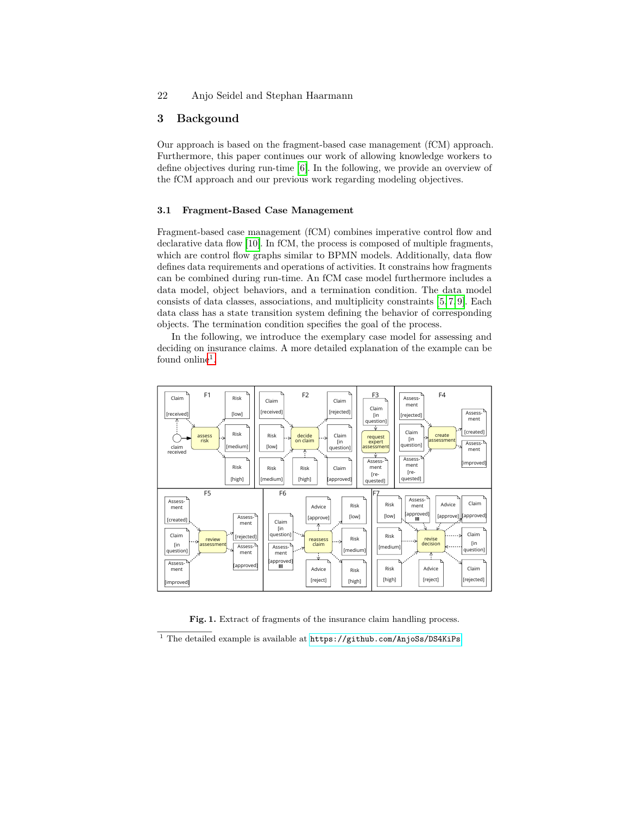# **3 Backgound**

Our approach is based on the fragment-based case management (fCM) approach. Furthermore, this paper continues our work of allowing knowledge workers to define objectives during run-time [6]. In the following, we provide an overview of the fCM approach and our previous work regarding modeling objectives.

### **3.1 Fragment-Based Case Management**

Fragment-based case management (fCM) combines imperative control flow and declarative data flow [10]. In fCM, the process is composed of multiple fragments, which are control flow graphs similar to BPMN models. Additionally, data flow defines data requirements and operations of activities. It constrains how fragments can be combined during run-time. An fCM case model furthermore includes a data model, object behaviors, and a termination condition. The data model consists of data classes, associations, and multiplicity constraints [5, 7, 9]. Each data class has a state transition system defining the behavior of corresponding objects. The termination condition specifies the goal of the process.

In the following, we introduce the exemplary case model for assessing and deciding on insurance claims. A more detailed explanation of the example can be found online<sup>1</sup>.



Fig. 1. Extract of fragments of the insurance claim handling process.

 $^{\rm 1}$  The detailed example is available at  ${\tt https://github.com/AnjoSs/DS4KiPs}$  ${\tt https://github.com/AnjoSs/DS4KiPs}$  ${\tt https://github.com/AnjoSs/DS4KiPs}$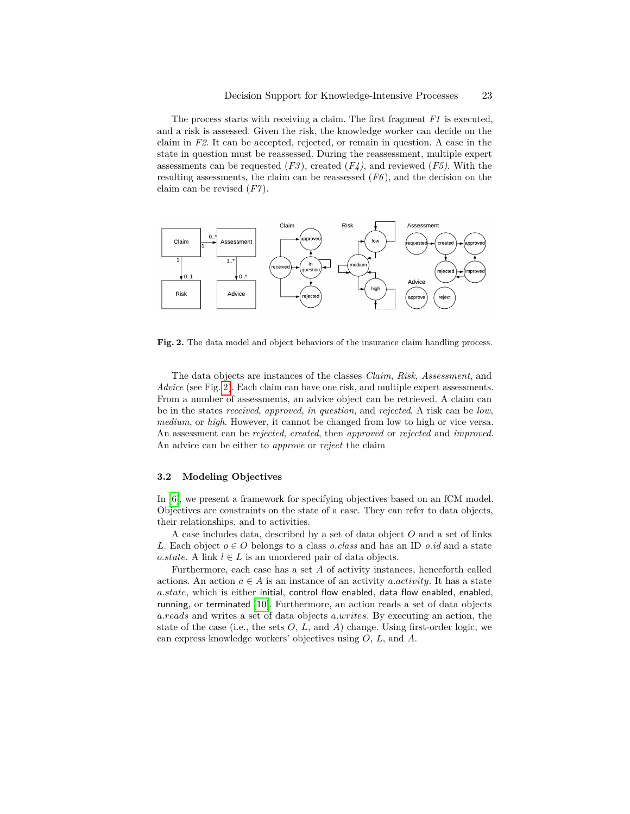The process starts with receiving a claim. The first fragment *F1* is executed, and a risk is assessed. Given the risk, the knowledge worker can decide on the claim in *F2*. It can be accepted, rejected, or remain in question. A case in the state in question must be reassessed. During the reassessment, multiple expert assessments can be requested (*F3* ), created (*F4)*, and reviewed (*F5)*. With the resulting assessments, the claim can be reassessed (*F6* ), and the decision on the claim can be revised (*F7* ).



**Fig. 2.** The data model and object behaviors of the insurance claim handling process.

The data objects are instances of the classes *Claim*, *Risk*, *Assessment*, and *Advice* (see Fig. 2). Each claim can have one risk, and multiple expert assessments. From a number of assessments, an advice object can be retrieved. A claim can be in the states *received*, *approved*, *in question*, and *rejected*. A risk can be *low*, *medium*, or *high*. However, it cannot be changed from low to high or vice versa. An assessment can be *rejected*, *created*, then *approved* or *rejected* and *improved*. An advice can be either to *approve* or *reject* the claim

#### **3.2 Modeling Objectives**

In [6], we present a framework for specifying objectives based on an fCM model. Objectives are constraints on the state of a case. They can refer to data objects, their relationships, and to activities.

A case includes data, described by a set of data object *O* and a set of links *L*. Each object  $o \in O$  belongs to a class *o.class* and has an ID *o.id* and a state *o.state*. A link  $l \in L$  is an unordered pair of data objects.

Furthermore, each case has a set *A* of activity instances, henceforth called actions. An action  $a \in A$  is an instance of an activity *a.activity*. It has a state *a.state*, which is either initial, control flow enabled, data flow enabled, enabled, running, or terminated [10]. Furthermore, an action reads a set of data objects *a.reads* and writes a set of data objects *a.writes*. By executing an action, the state of the case (i.e., the sets  $O, L$ , and  $A$ ) change. Using first-order logic, we can express knowledge workers' objectives using *O*, *L*, and *A*.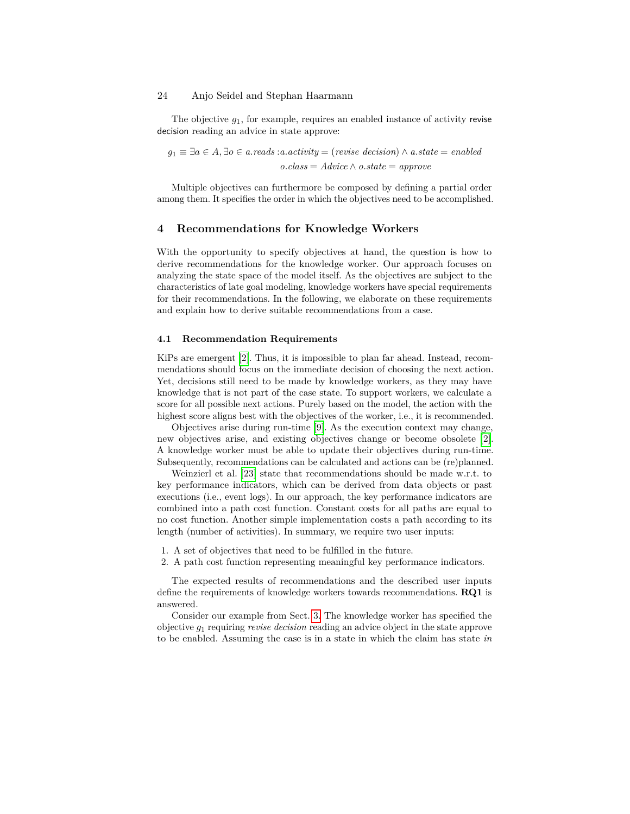The objective *g*1, for example, requires an enabled instance of activity revise decision reading an advice in state approve:

*g*<sup>1</sup> ≡ ∃*a* ∈ *A,* ∃*o* ∈ *a.reads* :*a.activity* = (*revise decision*) ∧ *a.state* = *enabled o.class* = *Advice* ∧ *o.state* = *approve*

Multiple objectives can furthermore be composed by defining a partial order among them. It specifies the order in which the objectives need to be accomplished.

# **4 Recommendations for Knowledge Workers**

With the opportunity to specify objectives at hand, the question is how to derive recommendations for the knowledge worker. Our approach focuses on analyzing the state space of the model itself. As the objectives are subject to the characteristics of late goal modeling, knowledge workers have special requirements for their recommendations. In the following, we elaborate on these requirements and explain how to derive suitable recommendations from a case.

#### **4.1 Recommendation Requirements**

KiPs are emergent [2]. Thus, it is impossible to plan far ahead. Instead, recommendations should focus on the immediate decision of choosing the next action. Yet, decisions still need to be made by knowledge workers, as they may have knowledge that is not part of the case state. To support workers, we calculate a score for all possible next actions. Purely based on the model, the action with the highest score aligns best with the objectives of the worker, i.e., it is recommended.

Objectives arise during run-time [9]. As the execution context may change, new objectives arise, and existing objectives change or become obsolete [2]. A knowledge worker must be able to update their objectives during run-time. Subsequently, recommendations can be calculated and actions can be (re)planned.

Weinzierl et al. [23] state that recommendations should be made w.r.t. to key performance indicators, which can be derived from data objects or past executions (i.e., event logs). In our approach, the key performance indicators are combined into a path cost function. Constant costs for all paths are equal to no cost function. Another simple implementation costs a path according to its length (number of activities). In summary, we require two user inputs:

- 1. A set of objectives that need to be fulfilled in the future.
- 2. A path cost function representing meaningful key performance indicators.

The expected results of recommendations and the described user inputs define the requirements of knowledge workers towards recommendations. **RQ1** is answered.

Consider our example from Sect. 3. The knowledge worker has specified the objective *g*<sup>1</sup> requiring *revise decision* reading an advice object in the state approve to be enabled. Assuming the case is in a state in which the claim has state *in*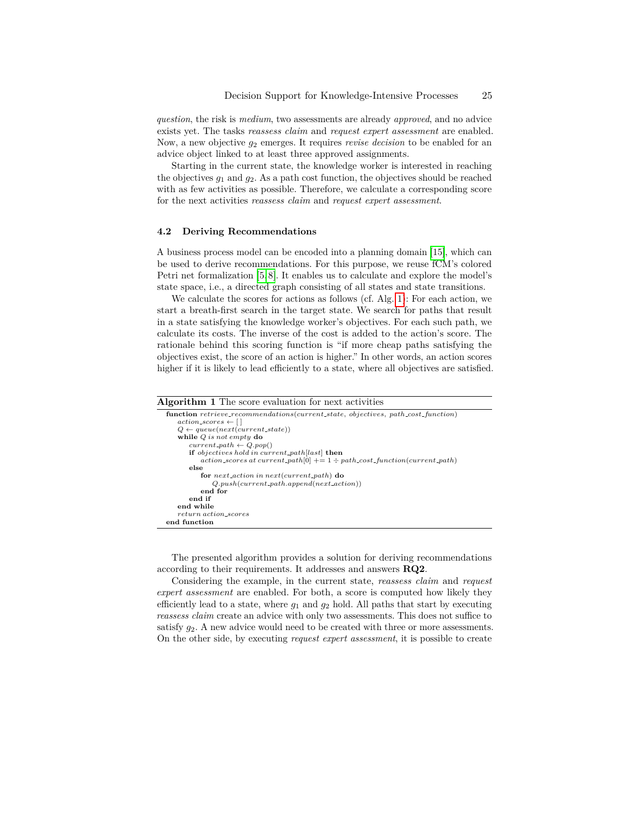*question*, the risk is *medium*, two assessments are already *approved*, and no advice exists yet. The tasks *reassess claim* and *request expert assessment* are enabled. Now, a new objective *g*<sup>2</sup> emerges. It requires *revise decision* to be enabled for an advice object linked to at least three approved assignments.

Starting in the current state, the knowledge worker is interested in reaching the objectives  $g_1$  and  $g_2$ . As a path cost function, the objectives should be reached with as few activities as possible. Therefore, we calculate a corresponding score for the next activities *reassess claim* and *request expert assessment*.

#### **4.2 Deriving Recommendations**

*return action scores*

**end function**

A business process model can be encoded into a planning domain [15], which can be used to derive recommendations. For this purpose, we reuse fCM's colored Petri net formalization [5, 8]. It enables us to calculate and explore the model's state space, i.e., a directed graph consisting of all states and state transitions.

We calculate the scores for actions as follows (cf. Alg. 1): For each action, we start a breath-first search in the target state. We search for paths that result in a state satisfying the knowledge worker's objectives. For each such path, we calculate its costs. The inverse of the cost is added to the action's score. The rationale behind this scoring function is "if more cheap paths satisfying the objectives exist, the score of an action is higher." In other words, an action scores higher if it is likely to lead efficiently to a state, where all objectives are satisfied.

#### **Algorithm 1** The score evaluation for next activities **function** *retrieve recommendations*(*current state, objectives, path cost function*)  $actions \leftarrow [$  $Q \leftarrow queue(next(current-state))$ **while** *Q is not empty* **do**  $current{\text -}path \leftarrow Q.pop()$ **if** *objectives hold in current path*[*last*] **then**  $action\_scores at current.path[0] += 1 + path\_cost\_function(current.path)$ **else for** *next action in next*(*current path*) **do** *Q.push*(*current path.append*(*next action*)) **end for end if end while**

The presented algorithm provides a solution for deriving recommendations according to their requirements. It addresses and answers **RQ2**.

Considering the example, in the current state, *reassess claim* and *request expert assessment* are enabled. For both, a score is computed how likely they efficiently lead to a state, where  $g_1$  and  $g_2$  hold. All paths that start by executing *reassess claim* create an advice with only two assessments. This does not suffice to satisfy *g*2. A new advice would need to be created with three or more assessments. On the other side, by executing *request expert assessment*, it is possible to create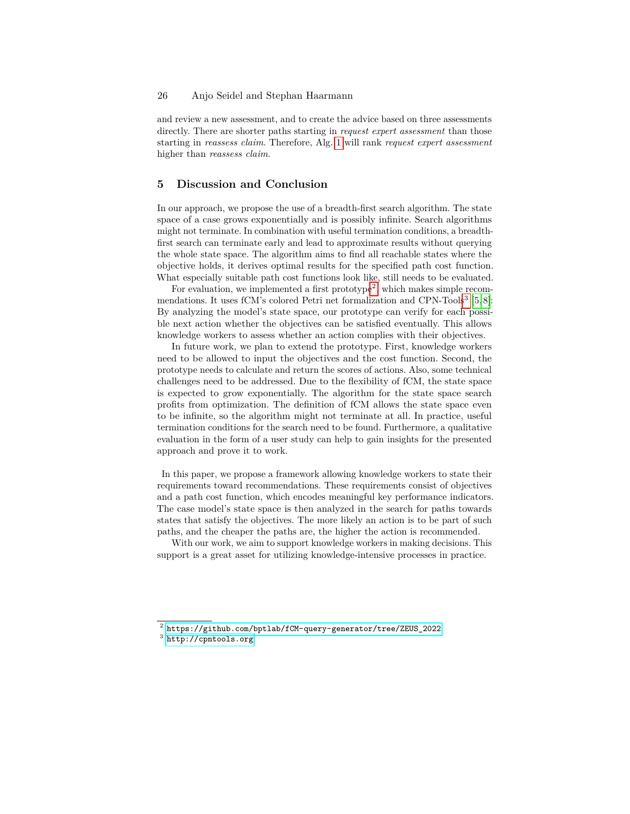and review a new assessment, and to create the advice based on three assessments directly. There are shorter paths starting in *request expert assessment* than those starting in *reassess claim*. Therefore, Alg. 1 will rank *request expert assessment* higher than *reassess claim*.

# **5 Discussion and Conclusion**

In our approach, we propose the use of a breadth-first search algorithm. The state space of a case grows exponentially and is possibly infinite. Search algorithms might not terminate. In combination with useful termination conditions, a breadthfirst search can terminate early and lead to approximate results without querying the whole state space. The algorithm aims to find all reachable states where the objective holds, it derives optimal results for the specified path cost function. What especially suitable path cost functions look like, still needs to be evaluated.

For evaluation, we implemented a first prototype<sup>2</sup>, which makes simple recommendations. It uses fCM's colored Petri net formalization and CPN-Tools<sup>3</sup> [5,8]: By analyzing the model's state space, our prototype can verify for each possible next action whether the objectives can be satisfied eventually. This allows knowledge workers to assess whether an action complies with their objectives.

In future work, we plan to extend the prototype. First, knowledge workers need to be allowed to input the objectives and the cost function. Second, the prototype needs to calculate and return the scores of actions. Also, some technical challenges need to be addressed. Due to the flexibility of fCM, the state space is expected to grow exponentially. The algorithm for the state space search profits from optimization. The definition of fCM allows the state space even to be infinite, so the algorithm might not terminate at all. In practice, useful termination conditions for the search need to be found. Furthermore, a qualitative evaluation in the form of a user study can help to gain insights for the presented approach and prove it to work.

In this paper, we propose a framework allowing knowledge workers to state their requirements toward recommendations. These requirements consist of objectives and a path cost function, which encodes meaningful key performance indicators. The case model's state space is then analyzed in the search for paths towards states that satisfy the objectives. The more likely an action is to be part of such paths, and the cheaper the paths are, the higher the action is recommended.

With our work, we aim to support knowledge workers in making decisions. This support is a great asset for utilizing knowledge-intensive processes in practice.

 $^2$  [https://github.com/bptlab/fCM-query-generator/tree/ZEUS\\_2022](https://github.com/bptlab/fCM-query-generator/tree/ZEUS_2022)

 $^3$  <http://cpntools.org>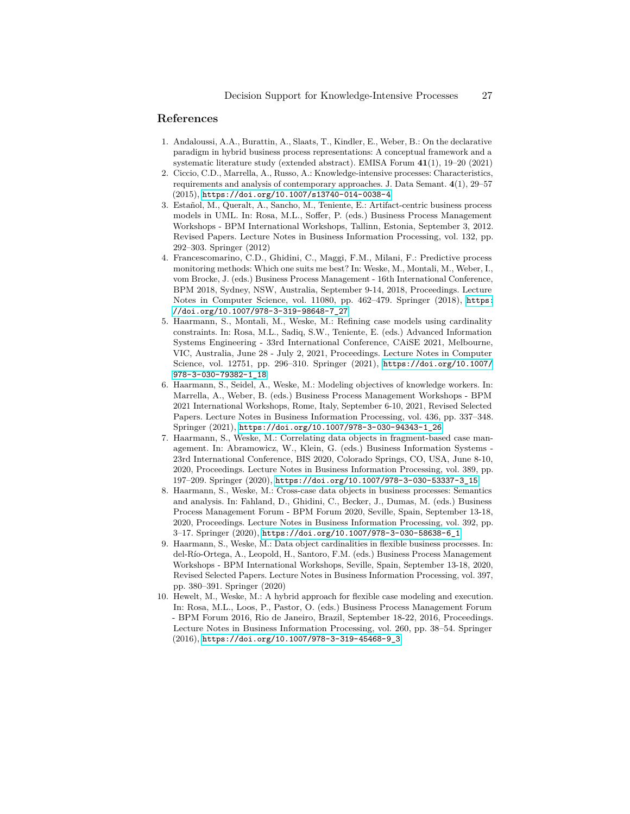# **References**

- 1. Andaloussi, A.A., Burattin, A., Slaats, T., Kindler, E., Weber, B.: On the declarative paradigm in hybrid business process representations: A conceptual framework and a systematic literature study (extended abstract). EMISA Forum **41**(1), 19–20 (2021)
- 2. Ciccio, C.D., Marrella, A., Russo, A.: Knowledge-intensive processes: Characteristics, requirements and analysis of contemporary approaches. J. Data Semant. **4**(1), 29–57 (2015), <https://doi.org/10.1007/s13740-014-0038-4>
- 3. Estañol, M., Queralt, A., Sancho, M., Teniente, E.: Artifact-centric business process models in UML. In: Rosa, M.L., Soffer, P. (eds.) Business Process Management Workshops - BPM International Workshops, Tallinn, Estonia, September 3, 2012. Revised Papers. Lecture Notes in Business Information Processing, vol. 132, pp. 292–303. Springer (2012)
- 4. Francescomarino, C.D., Ghidini, C., Maggi, F.M., Milani, F.: Predictive process monitoring methods: Which one suits me best? In: Weske, M., Montali, M., Weber, I., vom Brocke, J. (eds.) Business Process Management - 16th International Conference, BPM 2018, Sydney, NSW, Australia, September 9-14, 2018, Proceedings. Lecture Notes in Computer Science, vol. 11080, pp. 462–479. Springer (2018), [https:](https://doi.org/10.1007/978-3-319-98648-7_27) [//doi.org/10.1007/978-3-319-98648-7\\_27](https://doi.org/10.1007/978-3-319-98648-7_27)
- 5. Haarmann, S., Montali, M., Weske, M.: Refining case models using cardinality constraints. In: Rosa, M.L., Sadiq, S.W., Teniente, E. (eds.) Advanced Information Systems Engineering - 33rd International Conference, CAiSE 2021, Melbourne, VIC, Australia, June 28 - July 2, 2021, Proceedings. Lecture Notes in Computer Science, vol. 12751, pp. 296–310. Springer (2021), [https://doi.org/10.1007/](https://doi.org/10.1007/978-3-030-79382-1_18) [978-3-030-79382-1\\_18](https://doi.org/10.1007/978-3-030-79382-1_18)
- 6. Haarmann, S., Seidel, A., Weske, M.: Modeling objectives of knowledge workers. In: Marrella, A., Weber, B. (eds.) Business Process Management Workshops - BPM 2021 International Workshops, Rome, Italy, September 6-10, 2021, Revised Selected Papers. Lecture Notes in Business Information Processing, vol. 436, pp. 337–348. Springer (2021), [https://doi.org/10.1007/978-3-030-94343-1\\_26](https://doi.org/10.1007/978-3-030-94343-1_26)
- 7. Haarmann, S., Weske, M.: Correlating data objects in fragment-based case management. In: Abramowicz, W., Klein, G. (eds.) Business Information Systems - 23rd International Conference, BIS 2020, Colorado Springs, CO, USA, June 8-10, 2020, Proceedings. Lecture Notes in Business Information Processing, vol. 389, pp. 197–209. Springer (2020), [https://doi.org/10.1007/978-3-030-53337-3\\_15](https://doi.org/10.1007/978-3-030-53337-3_15)
- 8. Haarmann, S., Weske, M.: Cross-case data objects in business processes: Semantics and analysis. In: Fahland, D., Ghidini, C., Becker, J., Dumas, M. (eds.) Business Process Management Forum - BPM Forum 2020, Seville, Spain, September 13-18, 2020, Proceedings. Lecture Notes in Business Information Processing, vol. 392, pp. 3–17. Springer (2020), [https://doi.org/10.1007/978-3-030-58638-6\\_1](https://doi.org/10.1007/978-3-030-58638-6_1)
- 9. Haarmann, S., Weske, M.: Data object cardinalities in flexible business processes. In: del-Río-Ortega, A., Leopold, H., Santoro, F.M. (eds.) Business Process Management Workshops - BPM International Workshops, Seville, Spain, September 13-18, 2020, Revised Selected Papers. Lecture Notes in Business Information Processing, vol. 397, pp. 380–391. Springer (2020)
- 10. Hewelt, M., Weske, M.: A hybrid approach for flexible case modeling and execution. In: Rosa, M.L., Loos, P., Pastor, O. (eds.) Business Process Management Forum - BPM Forum 2016, Rio de Janeiro, Brazil, September 18-22, 2016, Proceedings. Lecture Notes in Business Information Processing, vol. 260, pp. 38–54. Springer (2016), [https://doi.org/10.1007/978-3-319-45468-9\\_3](https://doi.org/10.1007/978-3-319-45468-9_3)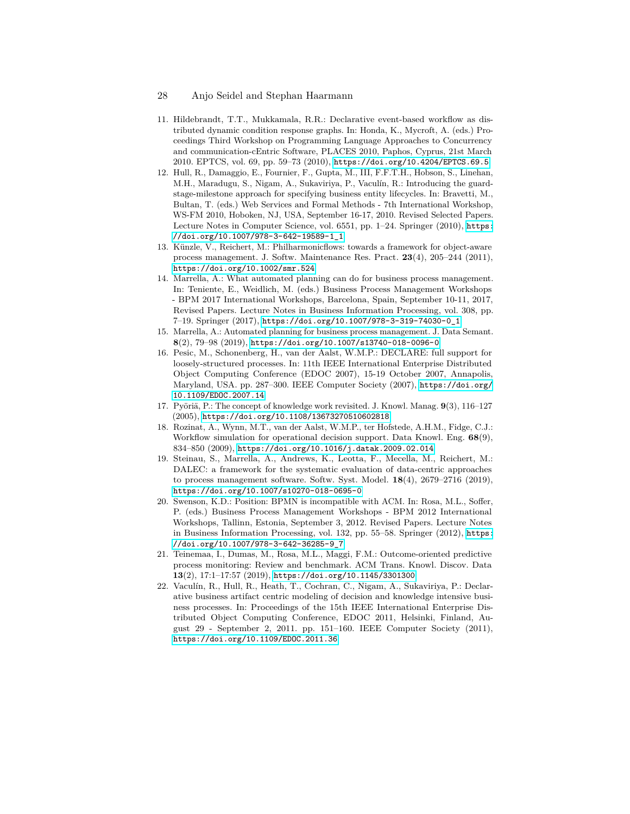- 11. Hildebrandt, T.T., Mukkamala, R.R.: Declarative event-based workflow as distributed dynamic condition response graphs. In: Honda, K., Mycroft, A. (eds.) Proceedings Third Workshop on Programming Language Approaches to Concurrency and communication-cEntric Software, PLACES 2010, Paphos, Cyprus, 21st March 2010. EPTCS, vol. 69, pp. 59–73 (2010), <https://doi.org/10.4204/EPTCS.69.5>
- 12. Hull, R., Damaggio, E., Fournier, F., Gupta, M., III, F.F.T.H., Hobson, S., Linehan, M.H., Maradugu, S., Nigam, A., Sukaviriya, P., Vaculín, R.: Introducing the guardstage-milestone approach for specifying business entity lifecycles. In: Bravetti, M., Bultan, T. (eds.) Web Services and Formal Methods - 7th International Workshop, WS-FM 2010, Hoboken, NJ, USA, September 16-17, 2010. Revised Selected Papers. Lecture Notes in Computer Science, vol. 6551, pp. 1–24. Springer (2010), [https:](https://doi.org/10.1007/978-3-642-19589-1_1) [//doi.org/10.1007/978-3-642-19589-1\\_1](https://doi.org/10.1007/978-3-642-19589-1_1)
- 13. Künzle, V., Reichert, M.: Philharmonicflows: towards a framework for object-aware process management. J. Softw. Maintenance Res. Pract. **23**(4), 205–244 (2011), <https://doi.org/10.1002/smr.524>
- 14. Marrella, A.: What automated planning can do for business process management. In: Teniente, E., Weidlich, M. (eds.) Business Process Management Workshops - BPM 2017 International Workshops, Barcelona, Spain, September 10-11, 2017, Revised Papers. Lecture Notes in Business Information Processing, vol. 308, pp. 7–19. Springer (2017), [https://doi.org/10.1007/978-3-319-74030-0\\_1](https://doi.org/10.1007/978-3-319-74030-0_1)
- 15. Marrella, A.: Automated planning for business process management. J. Data Semant. **8**(2), 79–98 (2019), <https://doi.org/10.1007/s13740-018-0096-0>
- 16. Pesic, M., Schonenberg, H., van der Aalst, W.M.P.: DECLARE: full support for loosely-structured processes. In: 11th IEEE International Enterprise Distributed Object Computing Conference (EDOC 2007), 15-19 October 2007, Annapolis, Maryland, USA. pp. 287–300. IEEE Computer Society (2007), [https://doi.org/](https://doi.org/10.1109/EDOC.2007.14) [10.1109/EDOC.2007.14](https://doi.org/10.1109/EDOC.2007.14)
- 17. Pyöriä, P.: The concept of knowledge work revisited. J. Knowl. Manag.  $9(3)$ , 116–127 (2005), <https://doi.org/10.1108/13673270510602818>
- 18. Rozinat, A., Wynn, M.T., van der Aalst, W.M.P., ter Hofstede, A.H.M., Fidge, C.J.: Workflow simulation for operational decision support. Data Knowl. Eng. **68**(9), 834–850 (2009), <https://doi.org/10.1016/j.datak.2009.02.014>
- 19. Steinau, S., Marrella, A., Andrews, K., Leotta, F., Mecella, M., Reichert, M.: DALEC: a framework for the systematic evaluation of data-centric approaches to process management software. Softw. Syst. Model. **18**(4), 2679–2716 (2019), <https://doi.org/10.1007/s10270-018-0695-0>
- 20. Swenson, K.D.: Position: BPMN is incompatible with ACM. In: Rosa, M.L., Soffer, P. (eds.) Business Process Management Workshops - BPM 2012 International Workshops, Tallinn, Estonia, September 3, 2012. Revised Papers. Lecture Notes in Business Information Processing, vol. 132, pp. 55–58. Springer (2012), [https:](https://doi.org/10.1007/978-3-642-36285-9_7) [//doi.org/10.1007/978-3-642-36285-9\\_7](https://doi.org/10.1007/978-3-642-36285-9_7)
- 21. Teinemaa, I., Dumas, M., Rosa, M.L., Maggi, F.M.: Outcome-oriented predictive process monitoring: Review and benchmark. ACM Trans. Knowl. Discov. Data **13**(2), 17:1–17:57 (2019), <https://doi.org/10.1145/3301300>
- 22. Vaculín, R., Hull, R., Heath, T., Cochran, C., Nigam, A., Sukaviriya, P.: Declarative business artifact centric modeling of decision and knowledge intensive business processes. In: Proceedings of the 15th IEEE International Enterprise Distributed Object Computing Conference, EDOC 2011, Helsinki, Finland, August 29 - September 2, 2011. pp. 151–160. IEEE Computer Society (2011), <https://doi.org/10.1109/EDOC.2011.36>